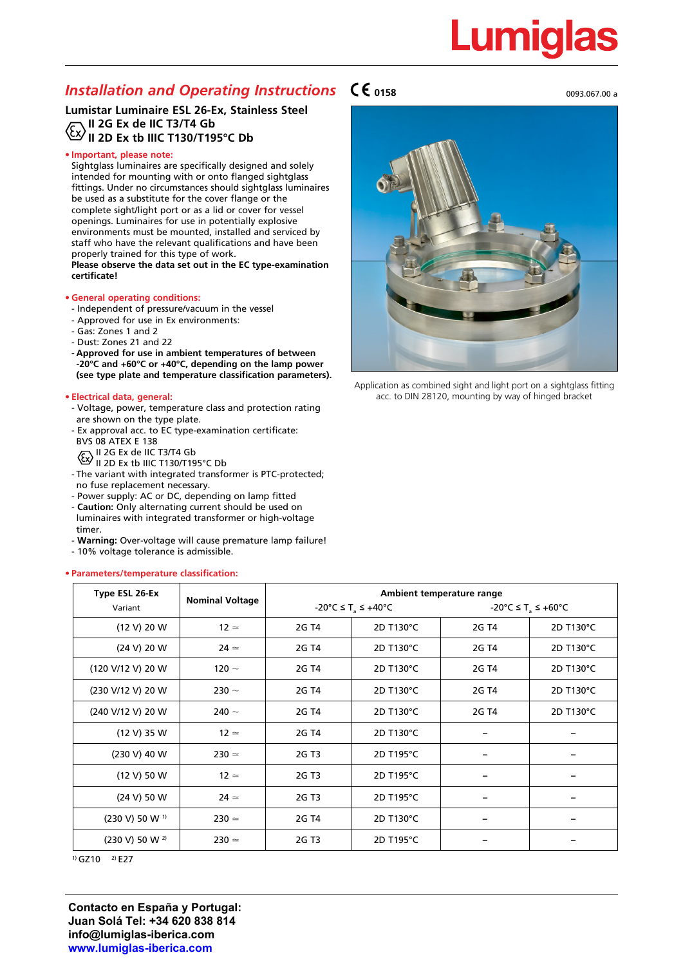# Lumig

# *Installation and Operating Instructions* $\mathsf{C}\mathsf{C}$  **0158** 0093.067.00 and 0093.067.00 a

# **Lumistar Luminaire ESL 26-Ex, Stainless Steel II 2G Ex de IIC T3/T4 Gb II 2D Ex tb IIIC T130/T195°C Db**

# **• Important, please note:**

Sightglass luminaires are specifically designed and solely intended for mounting with or onto flanged sightglass fittings. Under no circumstances should sightglass luminaires be used as a substitute for the cover flange or the complete sight/light port or as a lid or cover for vessel openings. Luminaires for use in potentially explosive environments must be mounted, installed and serviced by staff who have the relevant qualifications and have been properly trained for this type of work. **Please observe the data set out in the EC type-examination certificate!**

### **• General operating conditions:**

- Independent of pressure/vacuum in the vessel
- Approved for use in Ex environments:
- Gas: Zones 1 and 2
- Dust: Zones 21 and 22
- **- Approved for use in ambient temperatures of between -20°C and +60°C or +40°C, depending on the lamp power (see type plate and temperature classification parameters).**

### **• Electrical data, general:**

- Voltage, power, temperature class and protection rating are shown on the type plate.
- Ex approval acc. to EC type-examination certificate: BVS 08 ATEX E 138
	- II 2G Ex de IIC T3/T4 Gb
	- II 2D Ex tb IIIC T130/T195°C Db
- The variant with integrated transformer is PTC-protected; no fuse replacement necessary.
- Power supply: AC or DC, depending on lamp fitted
- **Caution:** Only alternating current should be used on luminaires with integrated transformer or high-voltage timer.
- **Warning:** Over-voltage will cause premature lamp failure!
- 10% voltage tolerance is admissible.

### **• Parameters/temperature classification:**





Application as combined sight and light port on a sightglass fitting acc. to DIN 28120, mounting by way of hinged bracket

| Type ESL 26-Ex               | <b>Nominal Voltage</b> | Ambient temperature range                                     |           |                                |           |
|------------------------------|------------------------|---------------------------------------------------------------|-----------|--------------------------------|-----------|
| Variant                      |                        | $-20^{\circ}$ C $\leq$ T <sub>a</sub> $\leq$ +40 $^{\circ}$ C |           | -20°C ≤ T <sub>a</sub> ≤ +60°C |           |
| (12 V) 20 W                  | $12 \approx$           | 2G T4                                                         | 2D T130°C | 2G T4                          | 2D T130°C |
| (24 V) 20 W                  | $24 \simeq$            | 2G T4                                                         | 2D T130°C | 2G T4                          | 2D T130°C |
| (120 V/12 V) 20 W            | 120 $\sim$             | 2G T4                                                         | 2D T130°C | 2G T4                          | 2D T130°C |
| (230 V/12 V) 20 W            | 230 $\sim$             | 2G T4                                                         | 2D T130°C | 2G T4                          | 2D T130°C |
| (240 V/12 V) 20 W            | 240 $\sim$             | 2G T4                                                         | 2D T130°C | 2G T4                          | 2D T130°C |
| (12 V) 35 W                  | $12 \approx$           | 2G T4                                                         | 2D T130°C |                                |           |
| (230 V) 40 W                 | $230 \approx$          | 2G T <sub>3</sub>                                             | 2D T195°C |                                |           |
| (12 V) 50 W                  | $12 \approx$           | 2G T3                                                         | 2D T195°C |                                |           |
| (24 V) 50 W                  | $24 \simeq$            | 2G T3                                                         | 2D T195°C |                                |           |
| $(230 V) 50 W$ <sup>1)</sup> | $230 \approx$          | 2G T4                                                         | 2D T130°C |                                |           |
| (230 V) 50 W 2)              | $230 \approx$          | 2G T3                                                         | 2D T195°C |                                |           |

 $(1)$  GZ10  $(2)$  E27